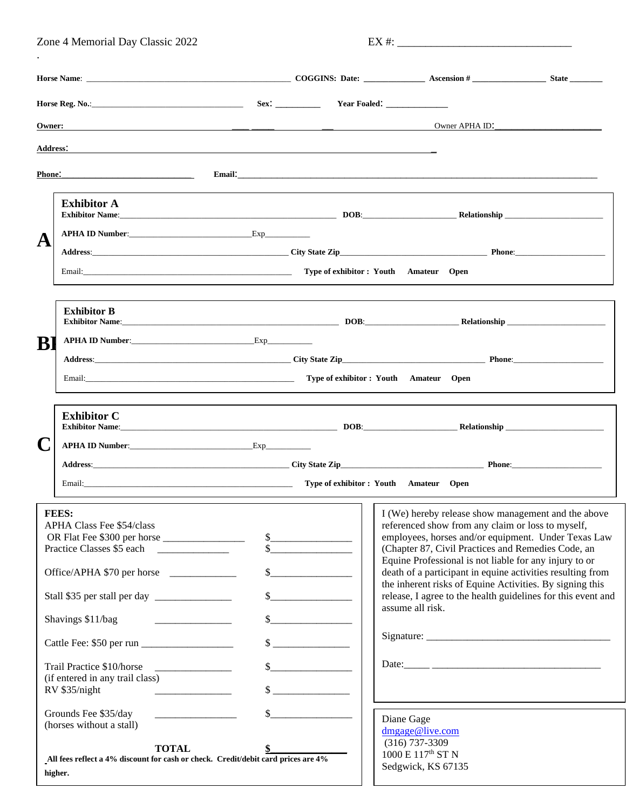| Zone 4 Memorial Day Classic 2022 |                                                                                                                                                                                                                                                                                                                       |                                                                                                                                                                                                                                | $EX \#:$                                                                   |                                                                                                                                                                                                                                                                                                                                                                                                                                                                                               |  |  |  |  |  |  |
|----------------------------------|-----------------------------------------------------------------------------------------------------------------------------------------------------------------------------------------------------------------------------------------------------------------------------------------------------------------------|--------------------------------------------------------------------------------------------------------------------------------------------------------------------------------------------------------------------------------|----------------------------------------------------------------------------|-----------------------------------------------------------------------------------------------------------------------------------------------------------------------------------------------------------------------------------------------------------------------------------------------------------------------------------------------------------------------------------------------------------------------------------------------------------------------------------------------|--|--|--|--|--|--|
|                                  |                                                                                                                                                                                                                                                                                                                       |                                                                                                                                                                                                                                |                                                                            |                                                                                                                                                                                                                                                                                                                                                                                                                                                                                               |  |  |  |  |  |  |
|                                  |                                                                                                                                                                                                                                                                                                                       |                                                                                                                                                                                                                                |                                                                            |                                                                                                                                                                                                                                                                                                                                                                                                                                                                                               |  |  |  |  |  |  |
| <b>Owner:</b>                    |                                                                                                                                                                                                                                                                                                                       | <u> 1980 - Jan James James, martin amerikan basar dan berasal dan berasal dalam basar dalam basar dalam basar dala</u>                                                                                                         |                                                                            | Owner APHA ID:                                                                                                                                                                                                                                                                                                                                                                                                                                                                                |  |  |  |  |  |  |
| <b>Address:</b>                  |                                                                                                                                                                                                                                                                                                                       |                                                                                                                                                                                                                                |                                                                            |                                                                                                                                                                                                                                                                                                                                                                                                                                                                                               |  |  |  |  |  |  |
| <b>Phone:</b>                    | <u> 1989 - Johann John Stone, mars eta biztanleria (</u>                                                                                                                                                                                                                                                              |                                                                                                                                                                                                                                |                                                                            |                                                                                                                                                                                                                                                                                                                                                                                                                                                                                               |  |  |  |  |  |  |
|                                  | <b>Exhibitor A</b>                                                                                                                                                                                                                                                                                                    |                                                                                                                                                                                                                                |                                                                            |                                                                                                                                                                                                                                                                                                                                                                                                                                                                                               |  |  |  |  |  |  |
| A                                | APHA ID Number: Exp                                                                                                                                                                                                                                                                                                   |                                                                                                                                                                                                                                |                                                                            |                                                                                                                                                                                                                                                                                                                                                                                                                                                                                               |  |  |  |  |  |  |
|                                  |                                                                                                                                                                                                                                                                                                                       |                                                                                                                                                                                                                                |                                                                            |                                                                                                                                                                                                                                                                                                                                                                                                                                                                                               |  |  |  |  |  |  |
|                                  | Email: Channel Channel Channel Channel Channel Channel Channel Channel Channel Channel Channel Channel Channel Channel Channel Channel Channel Channel Channel Channel Channel Channel Channel Channel Channel Channel Channel                                                                                        |                                                                                                                                                                                                                                |                                                                            |                                                                                                                                                                                                                                                                                                                                                                                                                                                                                               |  |  |  |  |  |  |
|                                  | <b>Exhibitor B</b><br>Exhibitor Name: <b>Exhibitor Name: DOB: Relationship</b>                                                                                                                                                                                                                                        |                                                                                                                                                                                                                                |                                                                            |                                                                                                                                                                                                                                                                                                                                                                                                                                                                                               |  |  |  |  |  |  |
| B                                |                                                                                                                                                                                                                                                                                                                       |                                                                                                                                                                                                                                |                                                                            |                                                                                                                                                                                                                                                                                                                                                                                                                                                                                               |  |  |  |  |  |  |
|                                  |                                                                                                                                                                                                                                                                                                                       |                                                                                                                                                                                                                                |                                                                            |                                                                                                                                                                                                                                                                                                                                                                                                                                                                                               |  |  |  |  |  |  |
|                                  |                                                                                                                                                                                                                                                                                                                       | Email: Channel Channel Channel Channel Channel Channel Channel Channel Channel Channel Channel Channel Channel Channel Channel Channel Channel Channel Channel Channel Channel Channel Channel Channel Channel Channel Channel |                                                                            |                                                                                                                                                                                                                                                                                                                                                                                                                                                                                               |  |  |  |  |  |  |
|                                  | <b>Exhibitor C</b><br>APHA ID Number: Exp                                                                                                                                                                                                                                                                             |                                                                                                                                                                                                                                |                                                                            |                                                                                                                                                                                                                                                                                                                                                                                                                                                                                               |  |  |  |  |  |  |
|                                  |                                                                                                                                                                                                                                                                                                                       |                                                                                                                                                                                                                                |                                                                            |                                                                                                                                                                                                                                                                                                                                                                                                                                                                                               |  |  |  |  |  |  |
|                                  |                                                                                                                                                                                                                                                                                                                       |                                                                                                                                                                                                                                |                                                                            |                                                                                                                                                                                                                                                                                                                                                                                                                                                                                               |  |  |  |  |  |  |
|                                  | <b>FEES:</b><br><b>APHA Class Fee \$54/class</b><br>Practice Classes \$5 each<br>Office/APHA \$70 per horse<br>Shavings \$11/bag<br><u> 1986 - Johann Barbara, martin a</u><br>Trail Practice \$10/horse<br><u> 2000 - Jan James James Barbara, politik a pre</u><br>(if entered in any trail class)<br>RV \$35/night | $S_{-}$                                                                                                                                                                                                                        | $\frac{1}{2}$<br>$\frac{\text{S}}{\text{S}}$<br>$\sim$<br>$\sim$<br>$\sim$ | I (We) hereby release show management and the above<br>referenced show from any claim or loss to myself,<br>employees, horses and/or equipment. Under Texas Law<br>(Chapter 87, Civil Practices and Remedies Code, an<br>Equine Professional is not liable for any injury to or<br>death of a participant in equine activities resulting from<br>the inherent risks of Equine Activities. By signing this<br>release, I agree to the health guidelines for this event and<br>assume all risk. |  |  |  |  |  |  |
|                                  | Grounds Fee \$35/day<br>(horses without a stall)<br><b>TOTAL</b><br>All fees reflect a 4% discount for cash or check. Credit/debit card prices are 4%<br>higher.                                                                                                                                                      | \$                                                                                                                                                                                                                             |                                                                            | Diane Gage<br>dmgage@live.com<br>$(316)$ 737-3309<br>$1000\to117^{\rm th}\,{\rm ST}$ N<br>Sedgwick, KS 67135                                                                                                                                                                                                                                                                                                                                                                                  |  |  |  |  |  |  |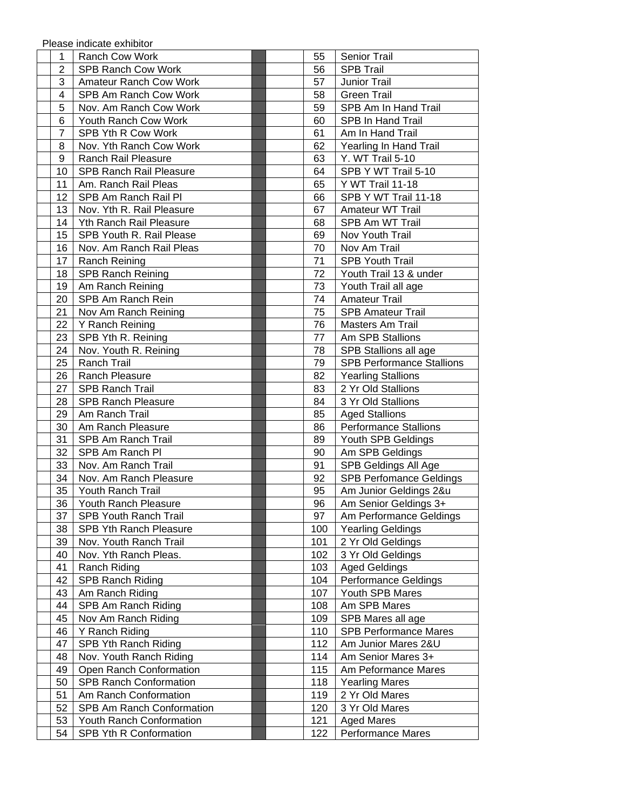Please indicate exhibitor

| 1              | Ranch Cow Work                 |  | 55  | <b>Senior Trail</b>              |
|----------------|--------------------------------|--|-----|----------------------------------|
| $\overline{2}$ | <b>SPB Ranch Cow Work</b>      |  | 56  | <b>SPB Trail</b>                 |
| 3              | <b>Amateur Ranch Cow Work</b>  |  | 57  | Junior Trail                     |
| 4              | SPB Am Ranch Cow Work          |  | 58  | <b>Green Trail</b>               |
| 5              | Nov. Am Ranch Cow Work         |  | 59  | SPB Am In Hand Trail             |
| 6              | Youth Ranch Cow Work           |  | 60  | SPB In Hand Trail                |
| $\overline{7}$ | SPB Yth R Cow Work             |  | 61  | Am In Hand Trail                 |
| 8              | Nov. Yth Ranch Cow Work        |  | 62  | Yearling In Hand Trail           |
| 9              | Ranch Rail Pleasure            |  | 63  | Y. WT Trail 5-10                 |
| 10             | <b>SPB Ranch Rail Pleasure</b> |  | 64  | SPB Y WT Trail 5-10              |
| 11             | Am. Ranch Rail Pleas           |  | 65  | Y WT Trail 11-18                 |
| 12             | SPB Am Ranch Rail Pl           |  | 66  | SPB Y WT Trail 11-18             |
| 13             | Nov. Yth R. Rail Pleasure      |  | 67  | Amateur WT Trail                 |
| 14             | Yth Ranch Rail Pleasure        |  | 68  | SPB Am WT Trail                  |
| 15             | SPB Youth R. Rail Please       |  | 69  | Nov Youth Trail                  |
| 16             | Nov. Am Ranch Rail Pleas       |  | 70  | Nov Am Trail                     |
| 17             | Ranch Reining                  |  | 71  | <b>SPB Youth Trail</b>           |
| 18             | <b>SPB Ranch Reining</b>       |  | 72  | Youth Trail 13 & under           |
| 19             | Am Ranch Reining               |  | 73  | Youth Trail all age              |
| 20             | SPB Am Ranch Rein              |  | 74  | <b>Amateur Trail</b>             |
| 21             | Nov Am Ranch Reining           |  | 75  | <b>SPB Amateur Trail</b>         |
| 22             | Y Ranch Reining                |  | 76  | Masters Am Trail                 |
| 23             | SPB Yth R. Reining             |  | 77  | Am SPB Stallions                 |
| 24             | Nov. Youth R. Reining          |  | 78  | SPB Stallions all age            |
| 25             | <b>Ranch Trail</b>             |  | 79  | <b>SPB Performance Stallions</b> |
| 26             | Ranch Pleasure                 |  | 82  | <b>Yearling Stallions</b>        |
| 27             | <b>SPB Ranch Trail</b>         |  | 83  | 2 Yr Old Stallions               |
| 28             | <b>SPB Ranch Pleasure</b>      |  | 84  | 3 Yr Old Stallions               |
| 29             | Am Ranch Trail                 |  | 85  | <b>Aged Stallions</b>            |
| 30             | Am Ranch Pleasure              |  | 86  | <b>Performance Stallions</b>     |
| 31             | SPB Am Ranch Trail             |  | 89  | Youth SPB Geldings               |
| 32             | SPB Am Ranch Pl                |  | 90  | Am SPB Geldings                  |
| 33             | Nov. Am Ranch Trail            |  | 91  | SPB Geldings All Age             |
| 34             | Nov. Am Ranch Pleasure         |  | 92  | <b>SPB Perfomance Geldings</b>   |
| 35             | Youth Ranch Trail              |  | 95  | Am Junior Geldings 2&u           |
| 36             | Youth Ranch Pleasure           |  | 96  | Am Senior Geldings 3+            |
| 37             | SPB Youth Ranch Trail          |  | 97  | Am Performance Geldings          |
| 38             | SPB Yth Ranch Pleasure         |  | 100 | <b>Yearling Geldings</b>         |
| 39             | Nov. Youth Ranch Trail         |  | 101 | 2 Yr Old Geldings                |
| 40             | Nov. Yth Ranch Pleas.          |  | 102 | 3 Yr Old Geldings                |
| 41             | Ranch Riding                   |  | 103 | <b>Aged Geldings</b>             |
| 42             | <b>SPB Ranch Riding</b>        |  | 104 | <b>Performance Geldings</b>      |
| 43             | Am Ranch Riding                |  | 107 | Youth SPB Mares                  |
| 44             | SPB Am Ranch Riding            |  | 108 | Am SPB Mares                     |
| 45             | Nov Am Ranch Riding            |  | 109 | SPB Mares all age                |
| 46             | Y Ranch Riding                 |  | 110 | <b>SPB Performance Mares</b>     |
| 47             | SPB Yth Ranch Riding           |  | 112 | Am Junior Mares 2&U              |
| 48             | Nov. Youth Ranch Riding        |  | 114 | Am Senior Mares 3+               |
| 49             | Open Ranch Conformation        |  | 115 | Am Peformance Mares              |
| 50             | <b>SPB Ranch Conformation</b>  |  | 118 | <b>Yearling Mares</b>            |
| 51             | Am Ranch Conformation          |  | 119 | 2 Yr Old Mares                   |
| 52             | SPB Am Ranch Conformation      |  | 120 | 3 Yr Old Mares                   |
| 53             | Youth Ranch Conformation       |  | 121 | <b>Aged Mares</b>                |
| 54             | SPB Yth R Conformation         |  | 122 | <b>Performance Mares</b>         |